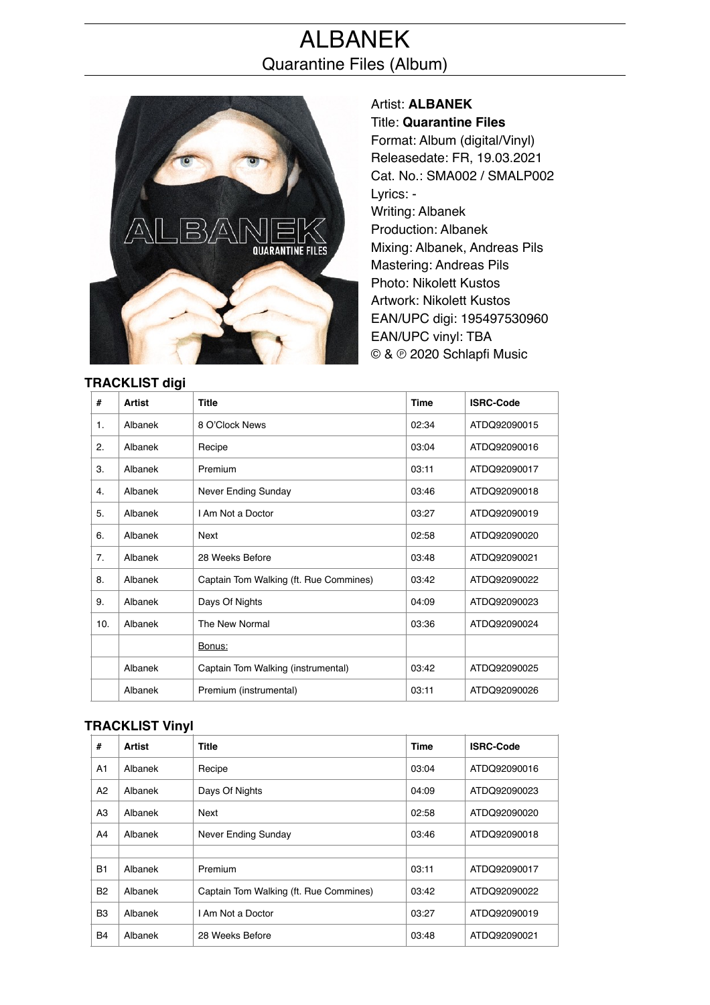# ALBANEK Quarantine Files (Album)



Artist: **ALBANEK** Title: **Quarantine Files** Format: Album (digital/Vinyl) Releasedate: FR, 19.03.2021 Cat. No.: SMA002 / SMALP002 Lyrics: - Writing: Albanek Production: Albanek Mixing: Albanek, Andreas Pils Mastering: Andreas Pils Photo: Nikolett Kustos Artwork: Nikolett Kustos EAN/UPC digi: 195497530960 EAN/UPC vinyl: TBA © & ℗ 2020 Schlapfi Music

| ועוט ו טושרעו  |               |                                        |             |                  |  |  |  |
|----------------|---------------|----------------------------------------|-------------|------------------|--|--|--|
| #              | <b>Artist</b> | <b>Title</b>                           | <b>Time</b> | <b>ISRC-Code</b> |  |  |  |
| 1.             | Albanek       | 8 O'Clock News                         | 02:34       | ATDQ92090015     |  |  |  |
| 2.             | Albanek       | Recipe                                 | 03:04       | ATDQ92090016     |  |  |  |
| 3.             | Albanek       | Premium                                | 03:11       | ATDQ92090017     |  |  |  |
| 4.             | Albanek       | Never Ending Sunday                    | 03:46       | ATDQ92090018     |  |  |  |
| 5.             | Albanek       | I Am Not a Doctor                      | 03:27       | ATDQ92090019     |  |  |  |
| 6.             | Albanek       | Next                                   | 02:58       | ATDQ92090020     |  |  |  |
| 7 <sub>1</sub> | Albanek       | 28 Weeks Before                        | 03:48       | ATDQ92090021     |  |  |  |
| 8.             | Albanek       | Captain Tom Walking (ft. Rue Commines) | 03:42       | ATDQ92090022     |  |  |  |
| 9.             | Albanek       | Days Of Nights                         | 04:09       | ATDQ92090023     |  |  |  |
| 10.            | Albanek       | The New Normal                         | 03:36       | ATDQ92090024     |  |  |  |
|                |               | Bonus:                                 |             |                  |  |  |  |
|                | Albanek       | Captain Tom Walking (instrumental)     | 03:42       | ATDQ92090025     |  |  |  |
|                | Albanek       | Premium (instrumental)                 | 03:11       | ATDQ92090026     |  |  |  |

## **TRACKLIST Vinyl**

| #              | Artist  | <b>Title</b>                           | <b>Time</b> | <b>ISRC-Code</b> |
|----------------|---------|----------------------------------------|-------------|------------------|
| A1             | Albanek | Recipe                                 | 03:04       | ATDQ92090016     |
| A2             | Albanek | Days Of Nights                         | 04:09       | ATDQ92090023     |
| A3             | Albanek | Next                                   | 02:58       | ATDQ92090020     |
| A4             | Albanek | Never Ending Sunday                    | 03:46       | ATDQ92090018     |
|                |         |                                        |             |                  |
| <b>B1</b>      | Albanek | Premium                                | 03:11       | ATDQ92090017     |
| <b>B2</b>      | Albanek | Captain Tom Walking (ft. Rue Commines) | 03:42       | ATDQ92090022     |
| B <sub>3</sub> | Albanek | I Am Not a Doctor                      | 03:27       | ATDQ92090019     |
| <b>B4</b>      | Albanek | 28 Weeks Before                        | 03:48       | ATDQ92090021     |

#### **TRACKLIST digi**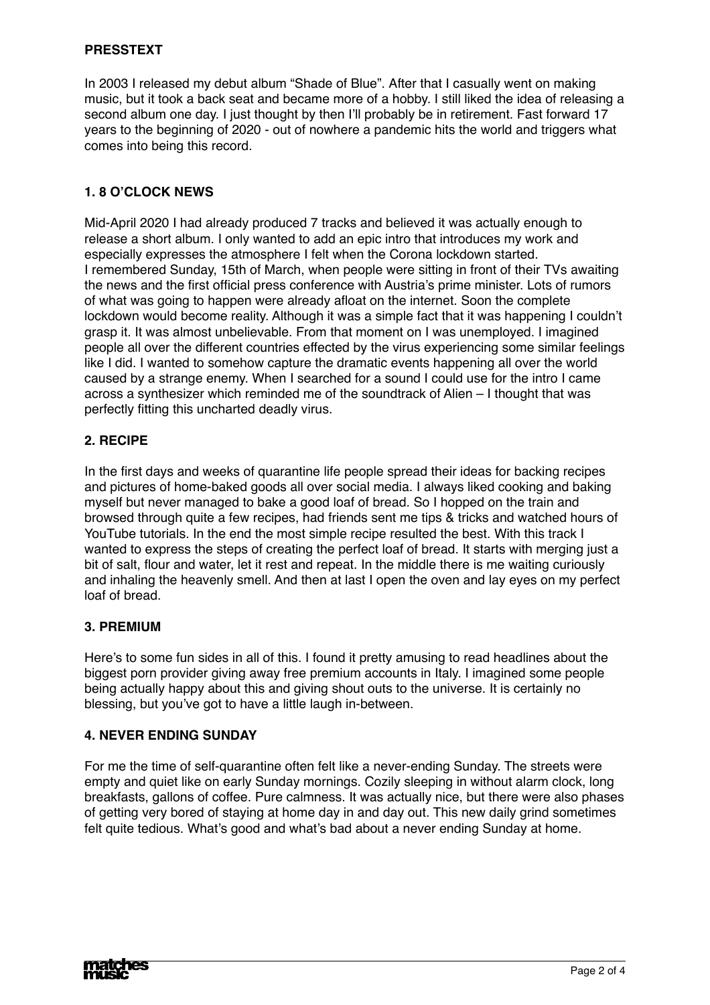#### **PRESSTEXT**

In 2003 I released my debut album "Shade of Blue". After that I casually went on making music, but it took a back seat and became more of a hobby. I still liked the idea of releasing a second album one day. I just thought by then I'll probably be in retirement. Fast forward 17 years to the beginning of 2020 - out of nowhere a pandemic hits the world and triggers what comes into being this record.

#### **1. 8 O'CLOCK NEWS**

Mid-April 2020 I had already produced 7 tracks and believed it was actually enough to release a short album. I only wanted to add an epic intro that introduces my work and especially expresses the atmosphere I felt when the Corona lockdown started. I remembered Sunday, 15th of March, when people were sitting in front of their TVs awaiting the news and the first official press conference with Austria's prime minister. Lots of rumors of what was going to happen were already afloat on the internet. Soon the complete lockdown would become reality. Although it was a simple fact that it was happening I couldn't grasp it. It was almost unbelievable. From that moment on I was unemployed. I imagined people all over the different countries effected by the virus experiencing some similar feelings like I did. I wanted to somehow capture the dramatic events happening all over the world caused by a strange enemy. When I searched for a sound I could use for the intro I came across a synthesizer which reminded me of the soundtrack of Alien – I thought that was perfectly fitting this uncharted deadly virus.

#### **2. RECIPE**

In the first days and weeks of quarantine life people spread their ideas for backing recipes and pictures of home-baked goods all over social media. I always liked cooking and baking myself but never managed to bake a good loaf of bread. So I hopped on the train and browsed through quite a few recipes, had friends sent me tips & tricks and watched hours of YouTube tutorials. In the end the most simple recipe resulted the best. With this track I wanted to express the steps of creating the perfect loaf of bread. It starts with merging just a bit of salt, flour and water, let it rest and repeat. In the middle there is me waiting curiously and inhaling the heavenly smell. And then at last I open the oven and lay eyes on my perfect loaf of bread.

#### **3. PREMIUM**

Here's to some fun sides in all of this. I found it pretty amusing to read headlines about the biggest porn provider giving away free premium accounts in Italy. I imagined some people being actually happy about this and giving shout outs to the universe. It is certainly no blessing, but you've got to have a little laugh in-between.

#### **4. NEVER ENDING SUNDAY**

For me the time of self-quarantine often felt like a never-ending Sunday. The streets were empty and quiet like on early Sunday mornings. Cozily sleeping in without alarm clock, long breakfasts, gallons of coffee. Pure calmness. It was actually nice, but there were also phases of getting very bored of staying at home day in and day out. This new daily grind sometimes felt quite tedious. What's good and what's bad about a never ending Sunday at home.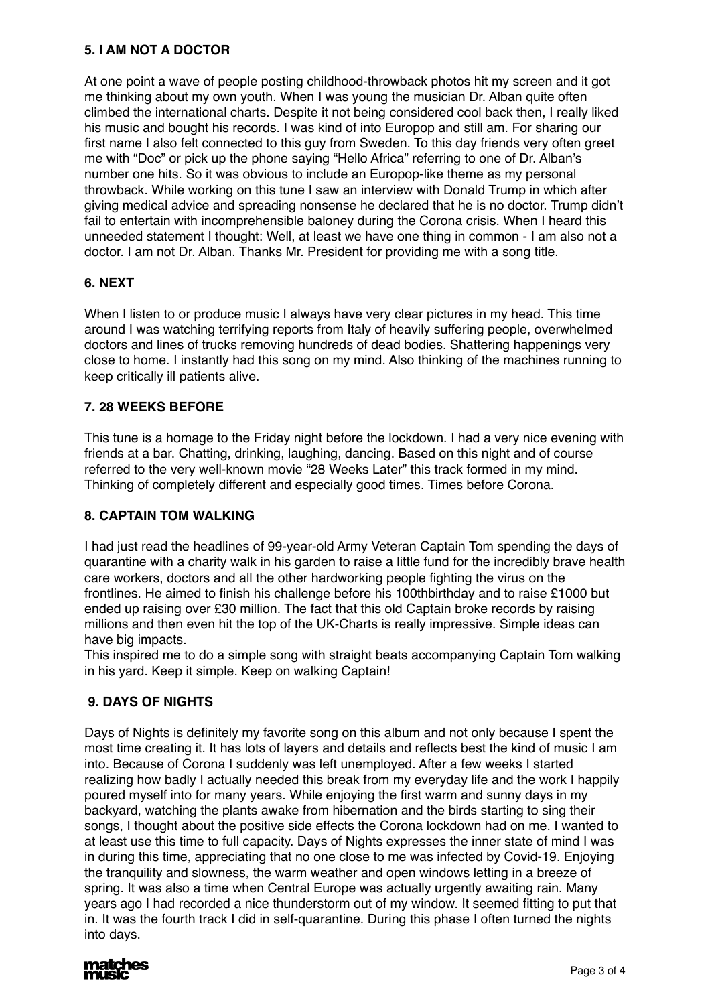## **5. I AM NOT A DOCTOR**

At one point a wave of people posting childhood-throwback photos hit my screen and it got me thinking about my own youth. When I was young the musician Dr. Alban quite often climbed the international charts. Despite it not being considered cool back then, I really liked his music and bought his records. I was kind of into Europop and still am. For sharing our first name I also felt connected to this guy from Sweden. To this day friends very often greet me with "Doc" or pick up the phone saying "Hello Africa" referring to one of Dr. Alban's number one hits. So it was obvious to include an Europop-like theme as my personal throwback. While working on this tune I saw an interview with Donald Trump in which after giving medical advice and spreading nonsense he declared that he is no doctor. Trump didn't fail to entertain with incomprehensible baloney during the Corona crisis. When I heard this unneeded statement I thought: Well, at least we have one thing in common - I am also not a doctor. I am not Dr. Alban. Thanks Mr. President for providing me with a song title.

## **6. NEXT**

When I listen to or produce music I always have very clear pictures in my head. This time around I was watching terrifying reports from Italy of heavily suffering people, overwhelmed doctors and lines of trucks removing hundreds of dead bodies. Shattering happenings very close to home. I instantly had this song on my mind. Also thinking of the machines running to keep critically ill patients alive.

## **7. 28 WEEKS BEFORE**

This tune is a homage to the Friday night before the lockdown. I had a very nice evening with friends at a bar. Chatting, drinking, laughing, dancing. Based on this night and of course referred to the very well-known movie "28 Weeks Later" this track formed in my mind. Thinking of completely different and especially good times. Times before Corona.

## **8. CAPTAIN TOM WALKING**

I had just read the headlines of 99-year-old Army Veteran Captain Tom spending the days of quarantine with a charity walk in his garden to raise a little fund for the incredibly brave health care workers, doctors and all the other hardworking people fighting the virus on the frontlines. He aimed to finish his challenge before his 100thbirthday and to raise £1000 but ended up raising over £30 million. The fact that this old Captain broke records by raising millions and then even hit the top of the UK-Charts is really impressive. Simple ideas can have big impacts.

This inspired me to do a simple song with straight beats accompanying Captain Tom walking in his yard. Keep it simple. Keep on walking Captain!

## **9. DAYS OF NIGHTS**

Days of Nights is definitely my favorite song on this album and not only because I spent the most time creating it. It has lots of layers and details and reflects best the kind of music I am into. Because of Corona I suddenly was left unemployed. After a few weeks I started realizing how badly I actually needed this break from my everyday life and the work I happily poured myself into for many years. While enjoying the first warm and sunny days in my backyard, watching the plants awake from hibernation and the birds starting to sing their songs, I thought about the positive side effects the Corona lockdown had on me. I wanted to at least use this time to full capacity. Days of Nights expresses the inner state of mind I was in during this time, appreciating that no one close to me was infected by Covid-19. Enjoying the tranquility and slowness, the warm weather and open windows letting in a breeze of spring. It was also a time when Central Europe was actually urgently awaiting rain. Many years ago I had recorded a nice thunderstorm out of my window. It seemed fitting to put that in. It was the fourth track I did in self-quarantine. During this phase I often turned the nights into days.